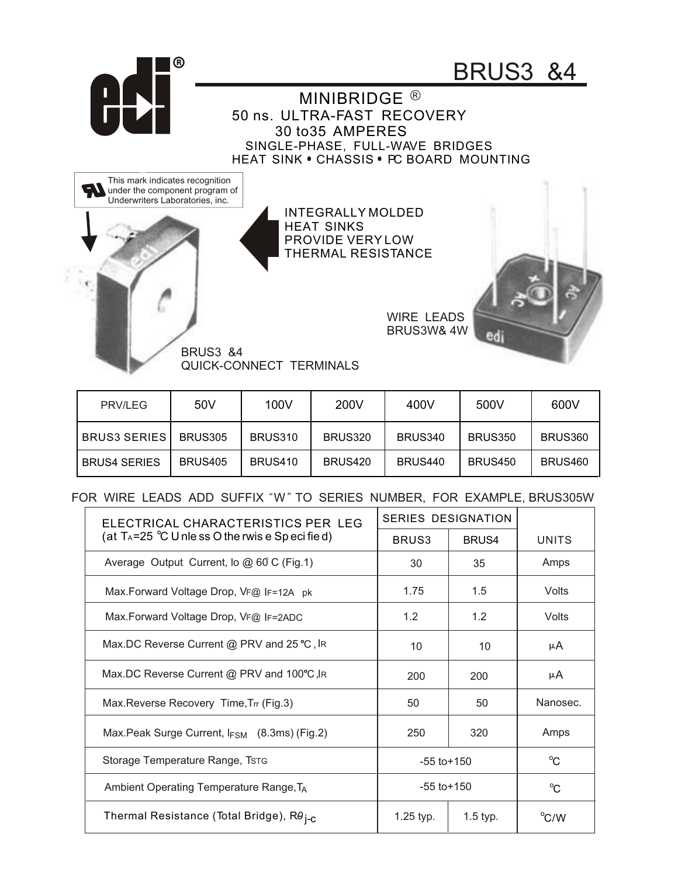

| PRV/LEG             | 50V            | 100V           | 200V    | 400V    | 500V           | 600V           |
|---------------------|----------------|----------------|---------|---------|----------------|----------------|
| <b>BRUS3 SERIES</b> | <b>BRUS305</b> | <b>BRUS310</b> | BRUS320 | BRUS340 | <b>BRUS350</b> | BRUS360        |
| <b>BRUS4 SERIES</b> | <b>BRUS405</b> | <b>BRUS410</b> | BRUS420 | BRUS440 | <b>BRUS450</b> | <b>BRUS460</b> |

## FOR WIRE LEADS ADD SUFFIX "W" TO SERIES NUMBER, FOR EXAMPLE, BRUS305W

| ELECTRICAL CHARACTERISTICS PER LEG                                      | SERIES DESIGNATION |            |             |
|-------------------------------------------------------------------------|--------------------|------------|-------------|
| (at T <sub>A</sub> =25 $^{\circ}$ C U nle ss O the rwis e Sp eci fie d) | BRUS <sub>3</sub>  | BRUS4      | UNITS       |
| Average Output Current, lo $@60C$ (Fig.1)                               | 30                 | 35         | Amps        |
| Max. Forward Voltage Drop, VF@ IF=12A pk                                | 1.75               | 1.5        | Volts       |
| Max.Forward Voltage Drop, VF@ IF=2ADC                                   | 1.2                | 1.2        | Volts       |
| Max.DC Reverse Current @ PRV and 25 °C, IR                              | 10                 | 10         | μA          |
| Max.DC Reverse Current @ PRV and 100°C, IR                              | 200                | 200        | μA          |
| Max. Reverse Recovery Time, Trr (Fig. 3)                                | 50                 | 50         | Nanosec.    |
| Max. Peak Surge Current, $I_{FSM}$ (8.3ms) (Fig. 2)                     | 250                | 320        | Amps        |
| Storage Temperature Range, Tstg                                         | $-55$ to $+150$    |            | $^{\circ}C$ |
| Ambient Operating Temperature Range, TA                                 | $-55$ to $+150$    |            | $^{\circ}C$ |
| Thermal Resistance (Total Bridge), R $\theta_{\text{i-C}}$              | $1.25$ typ.        | $1.5$ typ. | °C/W        |